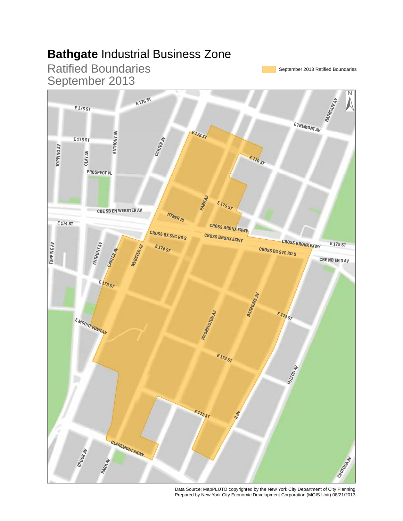#### **Bathgate** Industrial Business Zone



Data Source: MapPLUTO copyrighted by the New York City Department of City Planning Prepared by New York City Economic Development Corporation (MGIS Unit) 08/21/2013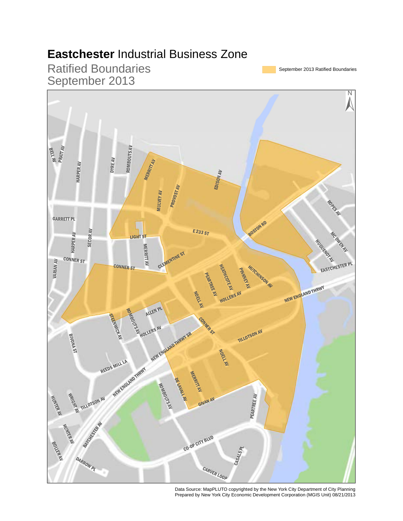## **Eastchester** Industrial Business Zone



Data Source: MapPLUTO copyrighted by the New York City Department of City Planning Prepared by New York City Economic Development Corporation (MGIS Unit) 08/21/2013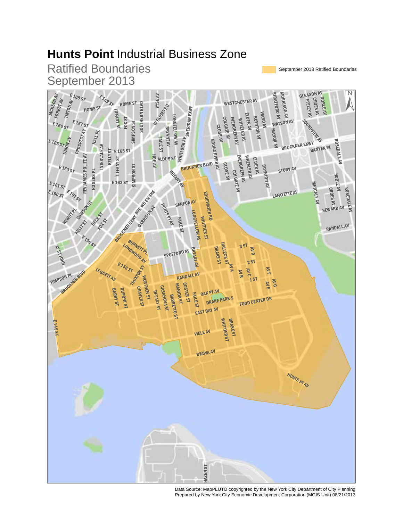# **Hunts Point** Industrial Business Zone



Data Source: MapPLUTO copyrighted by the New York City Department of City Planning Prepared by New York City Economic Development Corporation (MGIS Unit) 08/21/2013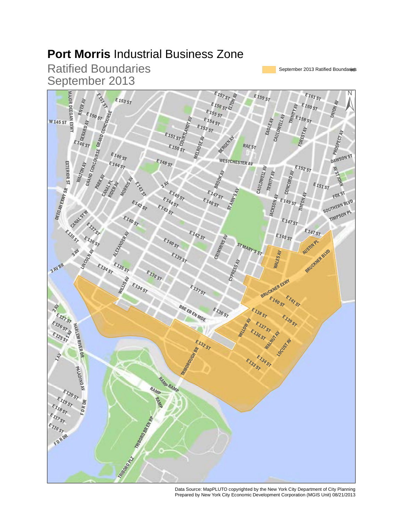## **Port Morris** Industrial Business Zone



Data Source: MapPLUTO copyrighted by the New York City Department of City Planning Prepared by New York City Economic Development Corporation (MGIS Unit) 08/21/2013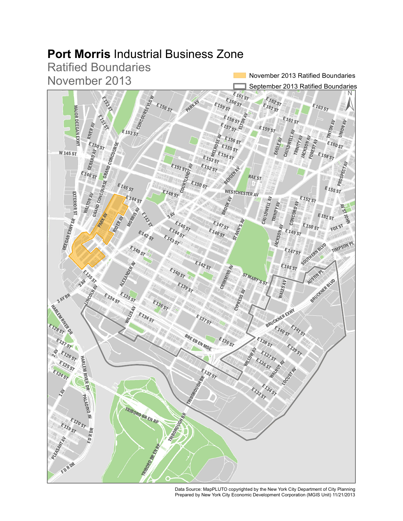# **Port Morris** Industrial Business Zone

Ratified Boundaries November 2013

November 2013 Ratified Boundaries



Data Source: MapPLUTO copyrighted by the New York City Department of City Planning Prepared by New York City Economic Development Corporation (MGIS Unit) 11/21/2013